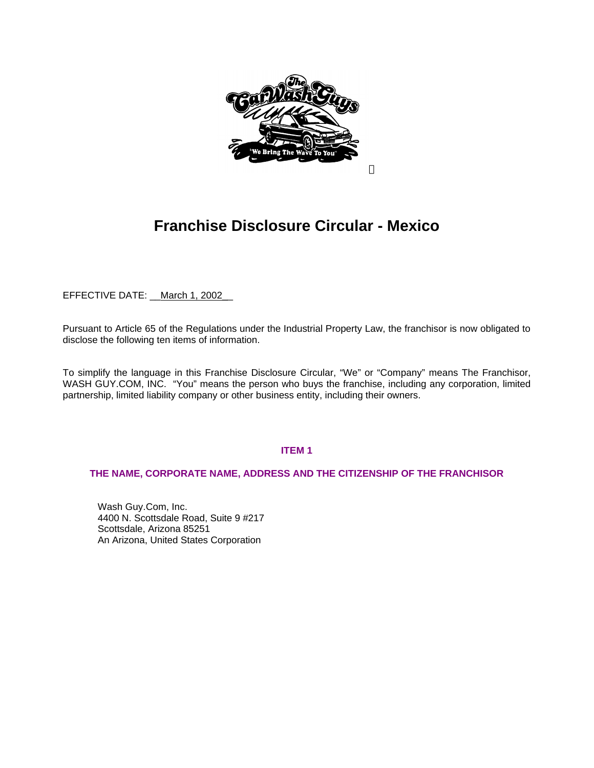

# **Franchise Disclosure Circular - Mexico**

EFFECTIVE DATE: March 1, 2002\_

Pursuant to Article 65 of the Regulations under the Industrial Property Law, the franchisor is now obligated to disclose the following ten items of information.

To simplify the language in this Franchise Disclosure Circular, "We" or "Company" means The Franchisor, WASH GUY.COM, INC. "You" means the person who buys the franchise, including any corporation, limited partnership, limited liability company or other business entity, including their owners.

# **ITEM 1**

## **THE NAME, CORPORATE NAME, ADDRESS AND THE CITIZENSHIP OF THE FRANCHISOR**

Wash Guy.Com, Inc. 4400 N. Scottsdale Road, Suite 9 #217 Scottsdale, Arizona 85251 An Arizona, United States Corporation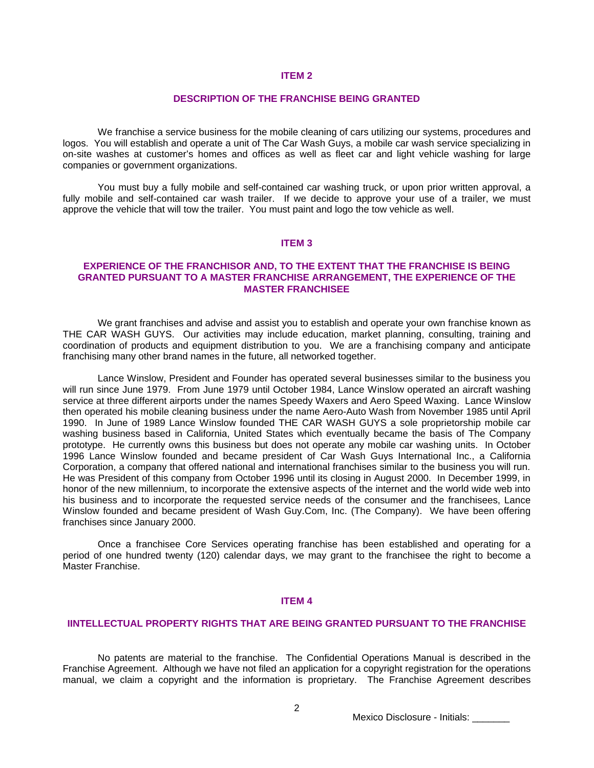#### **DESCRIPTION OF THE FRANCHISE BEING GRANTED**

We franchise a service business for the mobile cleaning of cars utilizing our systems, procedures and logos. You will establish and operate a unit of The Car Wash Guys, a mobile car wash service specializing in on-site washes at customer's homes and offices as well as fleet car and light vehicle washing for large companies or government organizations.

You must buy a fully mobile and self-contained car washing truck, or upon prior written approval, a fully mobile and self-contained car wash trailer. If we decide to approve your use of a trailer, we must approve the vehicle that will tow the trailer. You must paint and logo the tow vehicle as well.

#### **ITEM 3**

## **EXPERIENCE OF THE FRANCHISOR AND, TO THE EXTENT THAT THE FRANCHISE IS BEING GRANTED PURSUANT TO A MASTER FRANCHISE ARRANGEMENT, THE EXPERIENCE OF THE MASTER FRANCHISEE**

We grant franchises and advise and assist you to establish and operate your own franchise known as THE CAR WASH GUYS. Our activities may include education, market planning, consulting, training and coordination of products and equipment distribution to you. We are a franchising company and anticipate franchising many other brand names in the future, all networked together.

Lance Winslow, President and Founder has operated several businesses similar to the business you will run since June 1979. From June 1979 until October 1984, Lance Winslow operated an aircraft washing service at three different airports under the names Speedy Waxers and Aero Speed Waxing. Lance Winslow then operated his mobile cleaning business under the name Aero-Auto Wash from November 1985 until April 1990. In June of 1989 Lance Winslow founded THE CAR WASH GUYS a sole proprietorship mobile car washing business based in California, United States which eventually became the basis of The Company prototype. He currently owns this business but does not operate any mobile car washing units. In October 1996 Lance Winslow founded and became president of Car Wash Guys International Inc., a California Corporation, a company that offered national and international franchises similar to the business you will run. He was President of this company from October 1996 until its closing in August 2000. In December 1999, in honor of the new millennium, to incorporate the extensive aspects of the internet and the world wide web into his business and to incorporate the requested service needs of the consumer and the franchisees, Lance Winslow founded and became president of Wash Guy.Com, Inc. (The Company). We have been offering franchises since January 2000.

Once a franchisee Core Services operating franchise has been established and operating for a period of one hundred twenty (120) calendar days, we may grant to the franchisee the right to become a Master Franchise.

#### **ITEM 4**

#### **IINTELLECTUAL PROPERTY RIGHTS THAT ARE BEING GRANTED PURSUANT TO THE FRANCHISE**

No patents are material to the franchise. The Confidential Operations Manual is described in the Franchise Agreement. Although we have not filed an application for a copyright registration for the operations manual, we claim a copyright and the information is proprietary. The Franchise Agreement describes

Mexico Disclosure - Initials: \_\_\_\_\_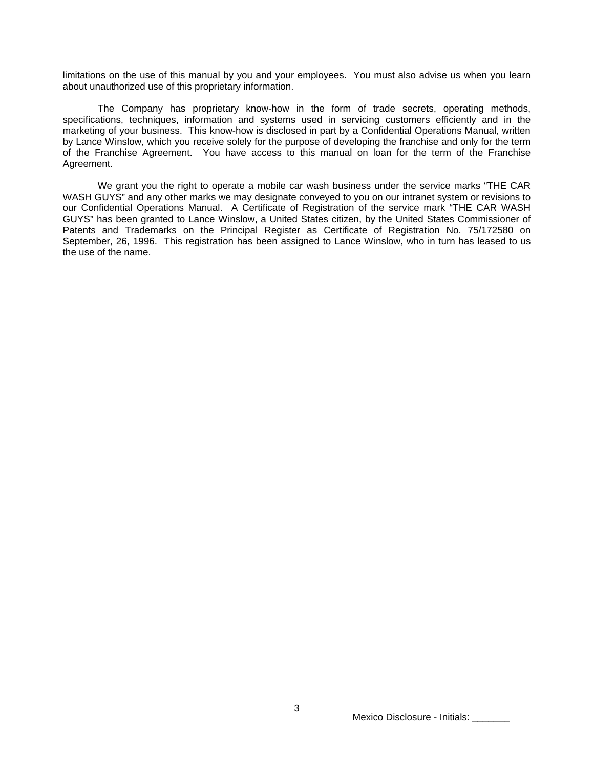limitations on the use of this manual by you and your employees. You must also advise us when you learn about unauthorized use of this proprietary information.

The Company has proprietary know-how in the form of trade secrets, operating methods, specifications, techniques, information and systems used in servicing customers efficiently and in the marketing of your business. This know-how is disclosed in part by a Confidential Operations Manual, written by Lance Winslow, which you receive solely for the purpose of developing the franchise and only for the term of the Franchise Agreement. You have access to this manual on loan for the term of the Franchise Agreement.

We grant you the right to operate a mobile car wash business under the service marks "THE CAR WASH GUYS" and any other marks we may designate conveyed to you on our intranet system or revisions to our Confidential Operations Manual. A Certificate of Registration of the service mark "THE CAR WASH GUYS" has been granted to Lance Winslow, a United States citizen, by the United States Commissioner of Patents and Trademarks on the Principal Register as Certificate of Registration No. 75/172580 on September, 26, 1996. This registration has been assigned to Lance Winslow, who in turn has leased to us the use of the name.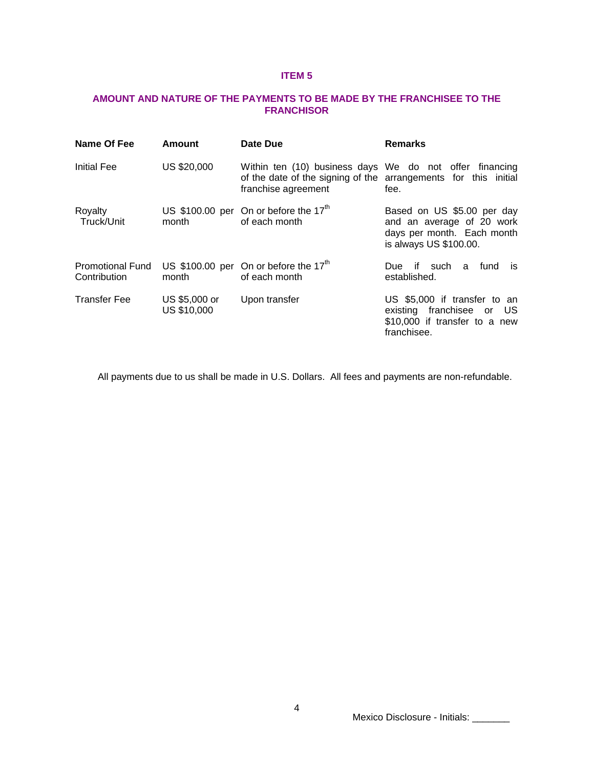# **AMOUNT AND NATURE OF THE PAYMENTS TO BE MADE BY THE FRANCHISEE TO THE FRANCHISOR**

| Name Of Fee                             | <b>Amount</b>                | Date Due                                                                                                                                          | <b>Remarks</b>                                                                                                  |
|-----------------------------------------|------------------------------|---------------------------------------------------------------------------------------------------------------------------------------------------|-----------------------------------------------------------------------------------------------------------------|
| <b>Initial Fee</b>                      | US \$20,000                  | Within ten (10) business days We do not offer financing<br>of the date of the signing of the arrangements for this initial<br>franchise agreement | fee.                                                                                                            |
| Royalty<br>Truck/Unit                   | month                        | US \$100.00 per On or before the $17th$<br>of each month                                                                                          | Based on US \$5.00 per day<br>and an average of 20 work<br>days per month. Each month<br>is always US \$100.00. |
| <b>Promotional Fund</b><br>Contribution | month                        | US \$100.00 per On or before the $17th$<br>of each month                                                                                          | Due if such a<br>fund is<br>established.                                                                        |
| <b>Transfer Fee</b>                     | US \$5,000 or<br>US \$10,000 | Upon transfer                                                                                                                                     | US \$5,000 if transfer to an<br>existing franchisee or US<br>\$10,000 if transfer to a new<br>franchisee.       |

All payments due to us shall be made in U.S. Dollars. All fees and payments are non-refundable.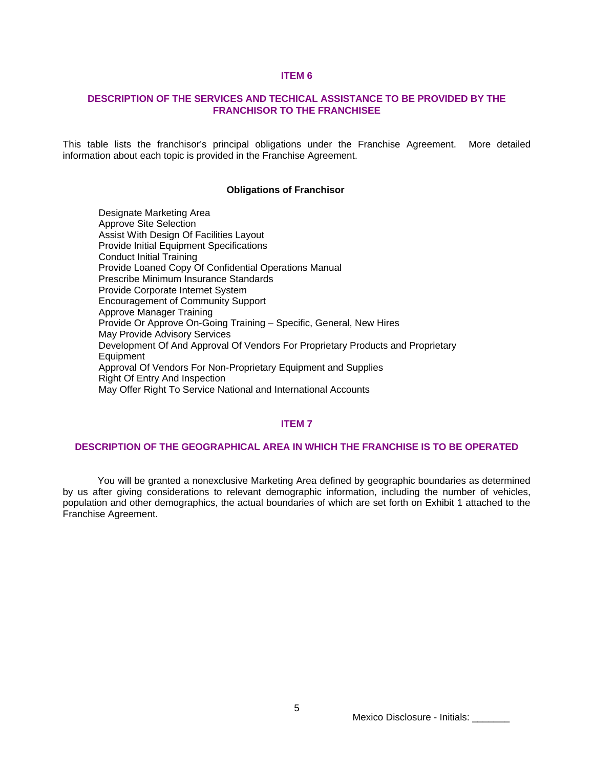## **DESCRIPTION OF THE SERVICES AND TECHICAL ASSISTANCE TO BE PROVIDED BY THE FRANCHISOR TO THE FRANCHISEE**

This table lists the franchisor's principal obligations under the Franchise Agreement. More detailed information about each topic is provided in the Franchise Agreement.

#### **Obligations of Franchisor**

Designate Marketing Area Approve Site Selection Assist With Design Of Facilities Layout Provide Initial Equipment Specifications Conduct Initial Training Provide Loaned Copy Of Confidential Operations Manual Prescribe Minimum Insurance Standards Provide Corporate Internet System Encouragement of Community Support Approve Manager Training Provide Or Approve On-Going Training – Specific, General, New Hires May Provide Advisory Services Development Of And Approval Of Vendors For Proprietary Products and Proprietary **Equipment** Approval Of Vendors For Non-Proprietary Equipment and Supplies Right Of Entry And Inspection May Offer Right To Service National and International Accounts

## **ITEM 7**

#### **DESCRIPTION OF THE GEOGRAPHICAL AREA IN WHICH THE FRANCHISE IS TO BE OPERATED**

You will be granted a nonexclusive Marketing Area defined by geographic boundaries as determined by us after giving considerations to relevant demographic information, including the number of vehicles, population and other demographics, the actual boundaries of which are set forth on Exhibit 1 attached to the Franchise Agreement.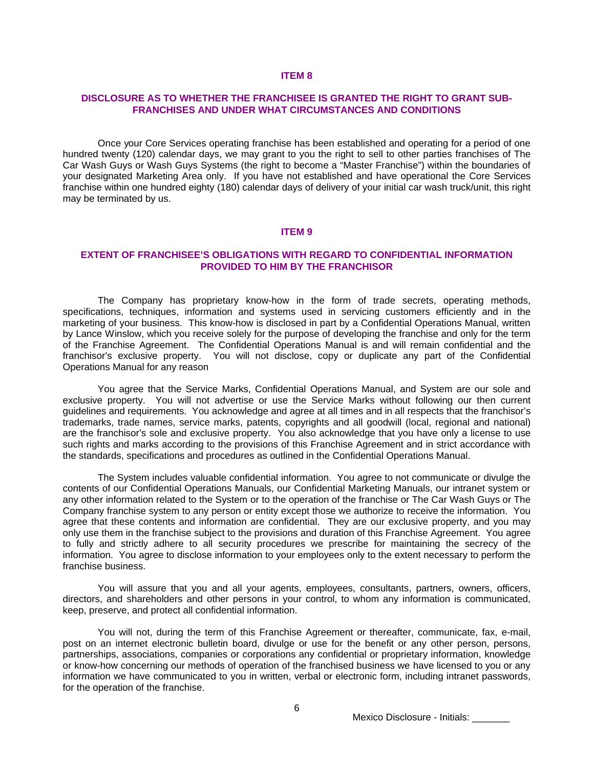## **DISCLOSURE AS TO WHETHER THE FRANCHISEE IS GRANTED THE RIGHT TO GRANT SUB-FRANCHISES AND UNDER WHAT CIRCUMSTANCES AND CONDITIONS**

Once your Core Services operating franchise has been established and operating for a period of one hundred twenty (120) calendar days, we may grant to you the right to sell to other parties franchises of The Car Wash Guys or Wash Guys Systems (the right to become a "Master Franchise") within the boundaries of your designated Marketing Area only. If you have not established and have operational the Core Services franchise within one hundred eighty (180) calendar days of delivery of your initial car wash truck/unit, this right may be terminated by us.

#### **ITEM 9**

#### **EXTENT OF FRANCHISEE'S OBLIGATIONS WITH REGARD TO CONFIDENTIAL INFORMATION PROVIDED TO HIM BY THE FRANCHISOR**

The Company has proprietary know-how in the form of trade secrets, operating methods, specifications, techniques, information and systems used in servicing customers efficiently and in the marketing of your business. This know-how is disclosed in part by a Confidential Operations Manual, written by Lance Winslow, which you receive solely for the purpose of developing the franchise and only for the term of the Franchise Agreement. The Confidential Operations Manual is and will remain confidential and the franchisor's exclusive property. You will not disclose, copy or duplicate any part of the Confidential Operations Manual for any reason

You agree that the Service Marks, Confidential Operations Manual, and System are our sole and exclusive property. You will not advertise or use the Service Marks without following our then current guidelines and requirements. You acknowledge and agree at all times and in all respects that the franchisor's trademarks, trade names, service marks, patents, copyrights and all goodwill (local, regional and national) are the franchisor's sole and exclusive property. You also acknowledge that you have only a license to use such rights and marks according to the provisions of this Franchise Agreement and in strict accordance with the standards, specifications and procedures as outlined in the Confidential Operations Manual.

The System includes valuable confidential information. You agree to not communicate or divulge the contents of our Confidential Operations Manuals, our Confidential Marketing Manuals, our intranet system or any other information related to the System or to the operation of the franchise or The Car Wash Guys or The Company franchise system to any person or entity except those we authorize to receive the information. You agree that these contents and information are confidential. They are our exclusive property, and you may only use them in the franchise subject to the provisions and duration of this Franchise Agreement. You agree to fully and strictly adhere to all security procedures we prescribe for maintaining the secrecy of the information. You agree to disclose information to your employees only to the extent necessary to perform the franchise business.

You will assure that you and all your agents, employees, consultants, partners, owners, officers, directors, and shareholders and other persons in your control, to whom any information is communicated, keep, preserve, and protect all confidential information.

You will not, during the term of this Franchise Agreement or thereafter, communicate, fax, e-mail, post on an internet electronic bulletin board, divulge or use for the benefit or any other person, persons, partnerships, associations, companies or corporations any confidential or proprietary information, knowledge or know-how concerning our methods of operation of the franchised business we have licensed to you or any information we have communicated to you in written, verbal or electronic form, including intranet passwords, for the operation of the franchise.

Mexico Disclosure - Initials: \_\_\_\_\_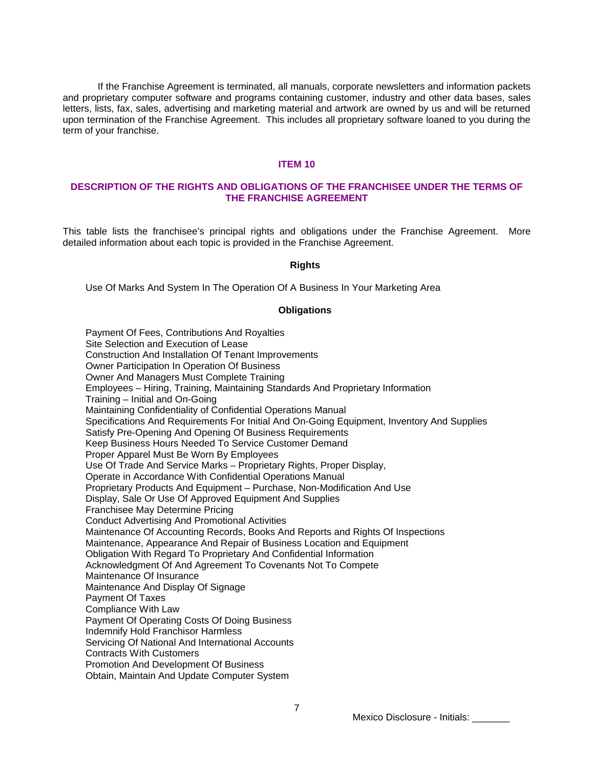If the Franchise Agreement is terminated, all manuals, corporate newsletters and information packets and proprietary computer software and programs containing customer, industry and other data bases, sales letters, lists, fax, sales, advertising and marketing material and artwork are owned by us and will be returned upon termination of the Franchise Agreement. This includes all proprietary software loaned to you during the term of your franchise.

#### **ITEM 10**

## **DESCRIPTION OF THE RIGHTS AND OBLIGATIONS OF THE FRANCHISEE UNDER THE TERMS OF THE FRANCHISE AGREEMENT**

This table lists the franchisee's principal rights and obligations under the Franchise Agreement. More detailed information about each topic is provided in the Franchise Agreement.

#### **Rights**

Use Of Marks And System In The Operation Of A Business In Your Marketing Area

#### **Obligations**

Payment Of Fees, Contributions And Royalties Site Selection and Execution of Lease Construction And Installation Of Tenant Improvements Owner Participation In Operation Of Business Owner And Managers Must Complete Training Employees – Hiring, Training, Maintaining Standards And Proprietary Information Training – Initial and On-Going Maintaining Confidentiality of Confidential Operations Manual Specifications And Requirements For Initial And On-Going Equipment, Inventory And Supplies Satisfy Pre-Opening And Opening Of Business Requirements Keep Business Hours Needed To Service Customer Demand Proper Apparel Must Be Worn By Employees Use Of Trade And Service Marks – Proprietary Rights, Proper Display, Operate in Accordance With Confidential Operations Manual Proprietary Products And Equipment – Purchase, Non-Modification And Use Display, Sale Or Use Of Approved Equipment And Supplies Franchisee May Determine Pricing Conduct Advertising And Promotional Activities Maintenance Of Accounting Records, Books And Reports and Rights Of Inspections Maintenance, Appearance And Repair of Business Location and Equipment Obligation With Regard To Proprietary And Confidential Information Acknowledgment Of And Agreement To Covenants Not To Compete Maintenance Of Insurance Maintenance And Display Of Signage Payment Of Taxes Compliance With Law Payment Of Operating Costs Of Doing Business Indemnify Hold Franchisor Harmless Servicing Of National And International Accounts Contracts With Customers Promotion And Development Of Business Obtain, Maintain And Update Computer System